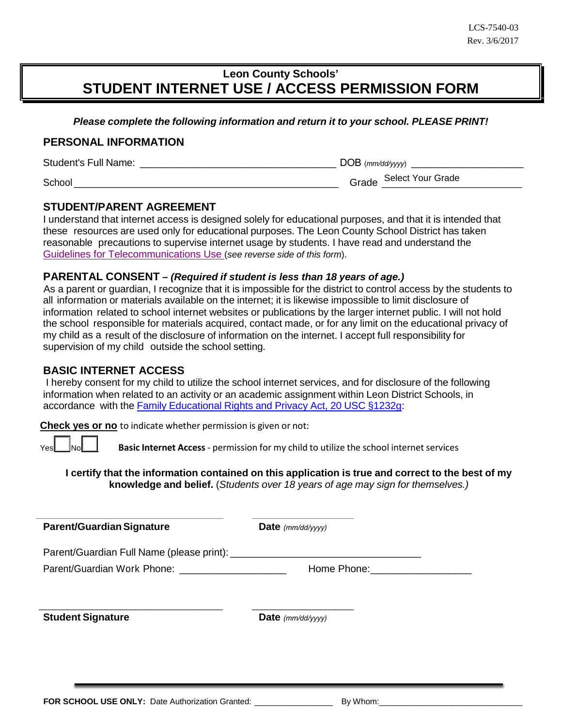# **Leon County Schools' STUDENT INTERNET USE / ACCESS PERMISSION FORM**

*Please complete the following information and return it to your school. PLEASE PRINT!*

### **PERSONAL INFORMATION**

Student's Full Name: \_\_\_\_\_\_\_\_\_\_\_\_\_\_\_\_\_\_\_\_\_\_\_\_\_\_\_\_\_\_\_\_\_\_\_ DOB (*mm/dd/yyyy*) \_\_\_\_\_\_\_\_\_\_\_\_\_\_\_\_\_\_\_\_

School \_\_\_\_\_\_\_\_\_\_\_\_\_\_\_\_\_\_\_\_\_\_\_\_\_\_\_\_\_\_\_\_\_\_\_\_\_\_\_\_\_\_\_\_\_\_\_\_\_\_ Grade \_\_\_\_\_\_\_\_\_\_\_\_\_\_\_\_\_\_\_\_\_\_\_\_\_ Select Your Grade

### **STUDENT/PARENT AGREEMENT**

I understand that internet access is designed solely for educational purposes, and that it is intended that these resources are used only for educational purposes. The Leon County School District has taken reasonable precautions to supervise internet usage by students. I have read and understand the Guidelines for [Telecommunications Use](#page-0-0) (*see reverse side of this form*).

### **PARENTAL CONSENT –** *(Required if student is less than 18 years of age.)*

As a parent or guardian, I recognize that it is impossible for the district to control access by the students to all information or materials available on the internet; it is likewise impossible to limit disclosure of information related to school internet websites or publications by the larger internet public. I will not hold the school responsible for materials acquired, contact made, or for any limit on the educational privacy of my child as a result of the disclosure of information on the internet. I accept full responsibility for supervision of my child outside the school setting.

### **BASIC INTERNET ACCESS**

I hereby consent for my child to utilize the school internet services, and for disclosure of the following information when related to an activity or an academic assignment within Leon District Schools, in accordance with the Family [Educational](https://nces.ed.gov/forum/dataethicscourse/additional-materials/family-educational-rights.pdf) Rights and Privacy Act, 20 USC §1232g:

**Check yes or no** to indicate whether permission is given or not:

*\_\_\_\_\_\_\_\_\_\_\_\_\_\_\_\_\_\_\_\_\_\_\_\_\_\_\_\_\_\_\_\_\_\_\_\_\_\_\_\_\_\_\_\_\_\_ \_\_\_\_\_\_\_\_\_\_\_\_\_\_\_\_\_\_\_\_\_\_\_\_\_*

\_\_\_\_\_\_\_\_\_\_\_\_\_\_\_\_\_\_\_\_\_\_\_\_\_\_\_\_\_\_\_\_\_\_\_\_\_\_ \_\_\_\_\_\_\_\_\_\_\_\_\_\_\_\_\_\_\_\_\_

Yes **Notinglian Basic Internet Access** - permission for my child to utilize the school internet services

**I certify that the information contained on this application is true and correct to the best of my knowledge and belief.** (*Students over 18 years of age may sign for themselves.)*

**Parent/GuardianSignature Date** *(mm/dd/yyyy)*

Parent/Guardian Full Name (please print): \_\_\_\_\_\_\_\_\_\_\_\_\_\_\_\_\_\_\_\_\_\_\_\_\_\_\_\_\_\_\_\_\_\_

Parent/Guardian Work Phone: \_\_\_\_\_\_\_\_\_\_\_\_\_\_\_\_\_\_\_\_\_\_\_\_\_\_\_\_\_\_\_\_Home Phone: \_\_\_\_\_\_\_\_

<span id="page-0-0"></span>**Student Signature Date** *(mm/dd/yyyy)*